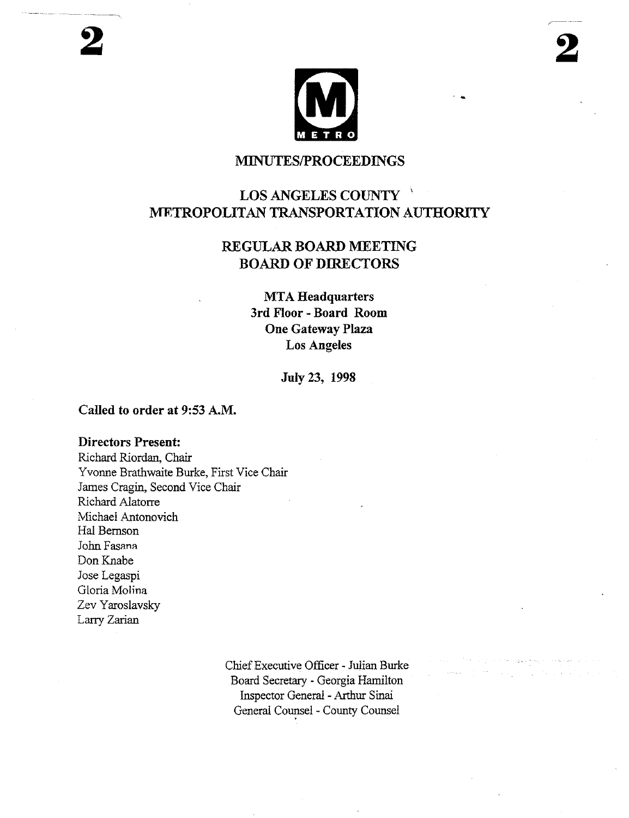## MINUTES/PROCEEDINGS

# LOS ANGELES COUNTY METROPOLITAN TRANSPORTATION AUTHORITY

# REGULAR BOARD MEETING BOARD OF DIRECTORS

**MTA Headquarters 3rd Floor - Board Room One Gateway Plaza Los Angeles**

**July 23, 1998**

#### **Called to order at** 9:53 A.M.

#### **Directors Present:**

Richard Riordan, Chair Yvonne Brathwaite Burke, First Vice Chair James Cragin, Second Vice Chair Richard Alatorre Michael Antonovich Hal Bemson John Fasana Don Knabe Jose Legaspi Gloria Molina Zev Yaroslavsky Larry Zarian

> Chief Executive Officer - Julian Burke Board Secretary - Georgia Hamilton Inspector General -Arthur Sinai General Counsel - County Counsel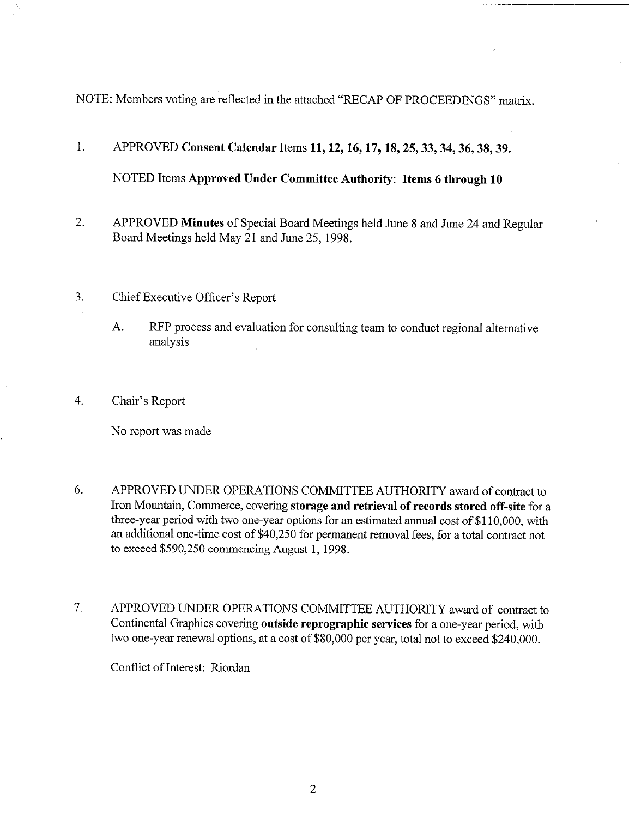NOTE: Members voting are reflected in the attached "RECAP OF PROCEEDINGS" matrix.

# 1. **APPROVED Consent Calendar Items 11, 12, 16, 17, 18, 25, 33, 34, 36, 38, 39.** NOTED Items Approved **Under Committee Authority: Items 6 through 10**

- 2. APPROVED **Minutes** of Special Board Meetings held June 8 and June 24 and Regular Board Meetings held May 21 and June 25, 1998.
- 3. Chief Executive Officer's Report
	- A. RFP process and evaluation for consulting team to conduct regional alternative analysis
- 4. Chair's Report

No report was made

- 6. APPROVED UNDER OPERATIONS COMMITTEE AUTHORITY award of contract to Iron Mountain, Commerce, covering **storage and retrieval** of records stored off-site for a three-year period with two one-year options for an estimated annual cost of \$110,000, with an additional one-time cost of \$40,250 for permanent removal fees, for a total contract not to exceed \$590,250 commencing August 1, 1998.
- APPROVED UNDER OPERATIONS COMMITTEE AUTHORITY award of contract to 7. Continental Graphics covering outside reprographie services for a one-year period, with two one-year renewal options, at a cost of \$80,000 per year, total not to exceed \$240,000.

Conflict of Interest: Riordan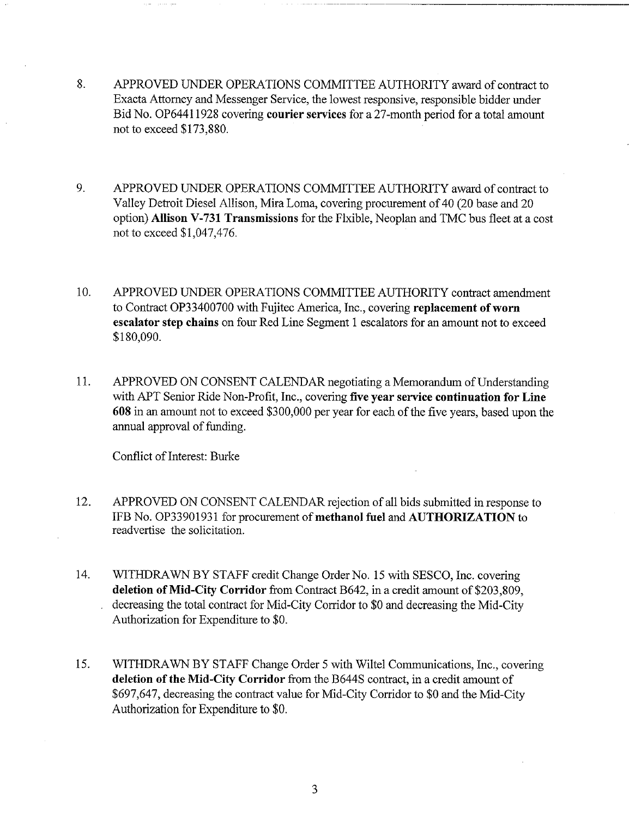- 8. APPROVED UNDER OPERATIONS COMMITTEE AUTHORITY award of contract to Exacta Attorney and Messenger Service, the lowest responsive, responsible bidder under Bid No. OP64411928 covering courier services for a 27-month period for a total amount not to exceed \$173,880.
- 9. APPROVED UNDER OPERATIONS COMMITTEE AUTHORITY award of contract to Valley Detroit Diesel Allison, Mira Loma, covering procurement of 40 (20 base and 20 option) **Allison** V-731 Transmissions for the Flxible, Neoplan and TMC bus fleet at a cost not to exceed \$1,047,476.
- 10. APPROVED UNDER OPERATIONS COMMITTEE AUTHORITY contract amendment to Contract OP33400700 with Fujitec America, Inc., covering replacement of worn escalator step chains on four Red Line Segment 1 escalators for an amount not to exceed \$180,090.
- 11. APPROVED ON CONSENT CALENDAR negotiating a Memorandum of Understanding with APT Senior Ride Non-Profit, Inc., covering five year **service continuation for Line** 608 in an amount not to exceed \$300,000 per year for each of the five years, based upon the annual approval of funding.

Conflict of Interest: Burke

- 12. APPROVED ON CONSENT CALENDAR rejection of all bids submitted in response to IFB No. OP33901931 for procurement of methanol fuel and AUTHORIZATION to readvertise the solicitation.
- 14. WITHDRAWN BY STAFF credit Change Order No. 15 with SESCO, Inc. covering **deletion** of Mid-City Corridor from Contract B642, in a credit amount of \$203,809, decreasing the total contract for Mid-City Corridor to \$0 and decreasing the Mid-City Authorization for Expenditure to \$0.
- 15. WITHDRAWN BY STAFF Change Order 5 with Wiltel Communications, Inc., covering **deletion of the** Mid-City Corridor from the B644S contract, in a credit amount of \$697,647, decreasing the contract value for Mid-City Corridor to \$0 and the Mid-City Authorization for Expenditure to \$0.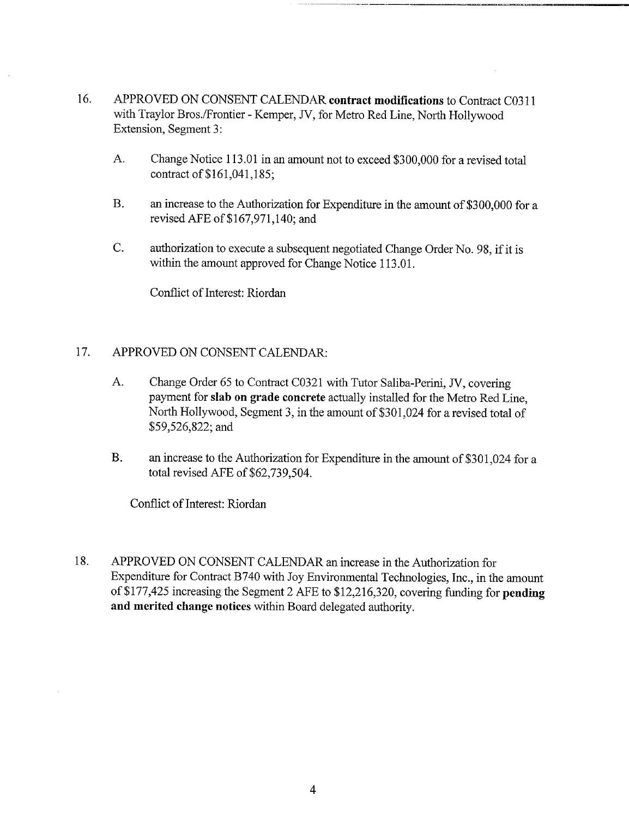- 16. APPROVED ON CONSENT CALENDAR **contract modifications** to Contract C0311 with Traylor Bros./Frontier - Kemper, JV, for Metro Red Line, North Hollywood Extension, Segment 3:
	- A. Change Notice 113.01 in an amount not to exceed \$300,000 for a revised total contract of \$161,041,185;
	- **B.** an increase to the Authorization for Expenditure in the amount of \$300,000 for a revised AFE of \$167,971,140; and
	- $C_{\cdot}$ authorization to execute a subsequent negotiated Change Order No. 98, if it is within the amount approved for Change Notice 113.01.

Conflict of Interest: Riordan

### 17. APPROVED ON CONSENT CALENDAR:

- A. Change Order 65 to Contract C0321 with Tutor Saliba-Perini, JV, covering payment for slab on grade concrete actually installed for the Metro Red Line, North Hollywood, Segment 3, in the amount of \$301,024 for a revised total of \$59,526,822; and
- B. an increase to the Authorization for Expenditure in the amount of \$301,024 for a total revised AFE of \$62,739,504.

Conflict of Interest: Riordan

18. APPROVED ON CONSENT CALENDAR an increase in the Authorization for Expenditure for Contract B740 with Joy Environmental Technologies, Inc., in the amount of \$177,425 increasing the Segment 2 AFE to \$12,216,320, covering funding for **pending and merited change notices** within Board delegated authority.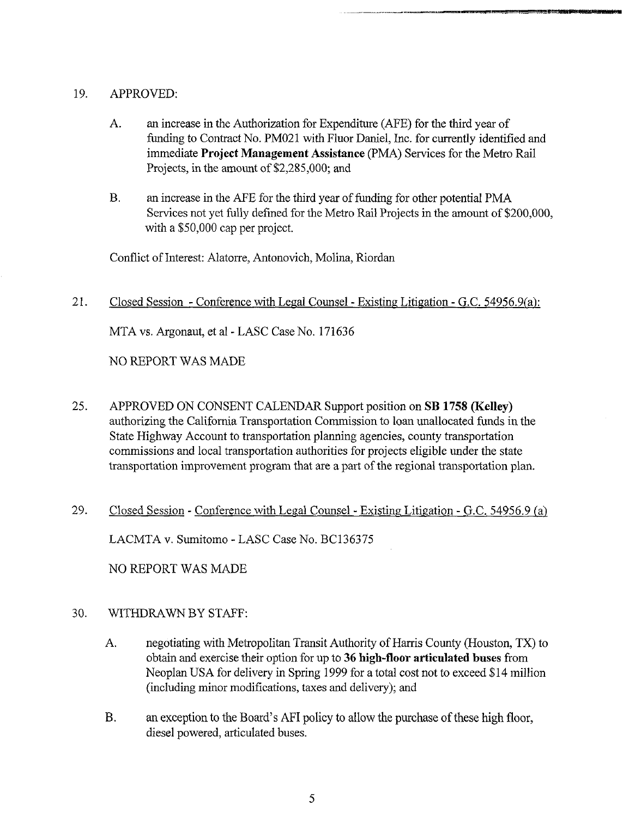#### 19. APPROVED:

- A. an increase in the Authorization for Expenditure (AFE) for the third year funding to Contract No. PM021 with Fluor Daniel, Inc. for currently identified and immediate Project Management Assistance (PMA) Services for the Metro Rail Projects, in the amount of \$2,285,000; and
- $B<sub>r</sub>$ an increase in the AFE for the third year of fanding for other potential PMA Services not yet fully defined for the Metro Rail Projects in the amount of \$200,000, with a \$50,000 cap per project.

Conflict of Interest: Alatorre, Antonovich, Molina, Riordan

21. Closed Session - Conference with Legal Counsel - Existing Litigation - G.C. 54956.9(a):

MTA vs. Argonaut, et al - LASC Case No. 171636

NO REPORT WAS MADE

- 25. APPROVED ON CONSENT CALENDAR Support position on SB 1758 (Kelley) authorizing the California Transportation Commission to loan unallocated funds in the State Highway Account to transportation planning agencies, county transportation commissions and local transportation authorities for projects eligible under the state transportation improvement program that are a part of the regional transportation plan.
- 29. Closed Session Conference with Legal Counsel Existing Litigation G.C. 54956.9 (a) LACMTA v. Sumitomo - LASC Case No. BC136375

NO REPORT WAS MADE

#### 30. WITHDRAWN BY STAFF:

- A. negotiating with Metropolitan Transit Authority of Harris County (Houston, TX) to obtain and exercise their option for up to 36 **high-floor articulated buses** from Neoplan USA for delivery in Spring 1999 for a total cost not to exceed \$14 million (including minor modifications, taxes and delivery); and
- **B.** an exception to the Board's AFI policy to allow the purchase of these high floor, diesel powered, articulated buses.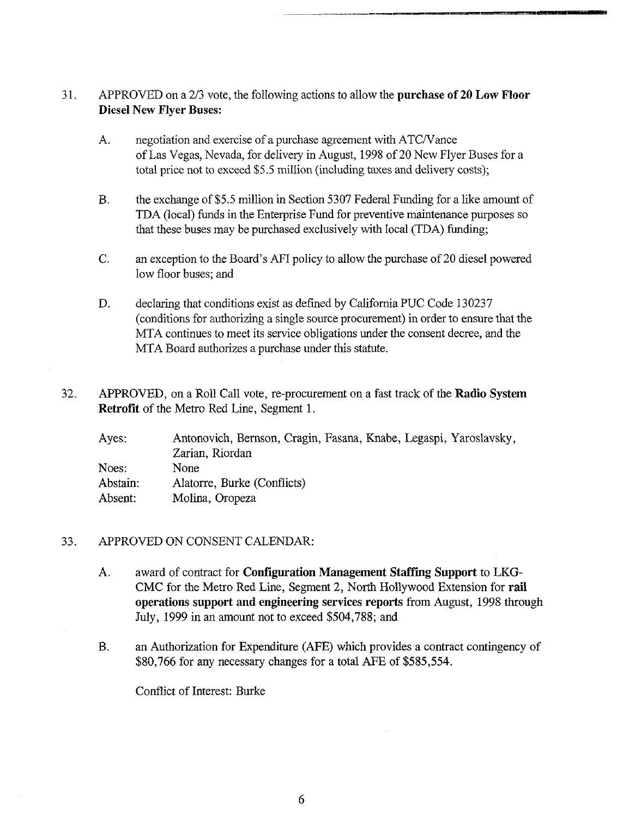- 31. APPROVED on a 2/3 vote, the following actions to allow the **purchase of 20 Low Floor Diesel New Flyer Buses:**
	- negotiation and exercise of a purchase agreement with ATC/Vance A. of Las Vegas, Nevada, for delivery in August, 1998 of 20 New Flyer Buses for a total price not to exceed \$5.5 million (including taxes and delivery costs);
	- B. the exchange of \$5.5 million in Section 5307 Federal Funding for a like amount of TDA (local) funds in the Enterprise Fund for preventive maintenance purposes that these buses may be purchased exclusively with local (TDA) funding;
	- an exception to the Board's AFI policy to allow the purchase of 20 diesel powered  $C_{\cdot}$ low floor buses; and
	- D. declaring that conditions exist as defined by California PUC Code 130237 (conditions for authorizing a single source procurement) in order to ensure that the MTA continues to meet its service obligations under the consent decree, and the MTA Board authorizes a purchase under this statute.
- 32. APPROVED, on a Roll Call vote, re-procurement on a fast track of the **Radio System Retrofit** of the Metro Red Line, Segment 1.

| Ayes:    | Antonovich, Bernson, Cragin, Fasana, Knabe, Legaspi, Yaroslavsky, |
|----------|-------------------------------------------------------------------|
|          | Zarian, Riordan                                                   |
| Noes:    | None                                                              |
| Abstain: | Alatorre, Burke (Conflicts)                                       |
| Absent:  | Molina, Oropeza                                                   |

#### 33. APPROVED ON CONSENT CALENDAR:

- award of contract for **Configuration Management Staff'mg Support** to LKG-A. CMC for the Metro Red L'me, Segment 2, North Hollywood Extension for rail **operations support and engineering services** reports from August, 1998 through July, 1999 in an amount not to exceed \$504,788; and
- B. an Authorization for Expenditure (AFE) which provides a contract contingency of \$80,766 for any necessary changes for a total AFE of \$585,554.

Conflict of Interest: Burke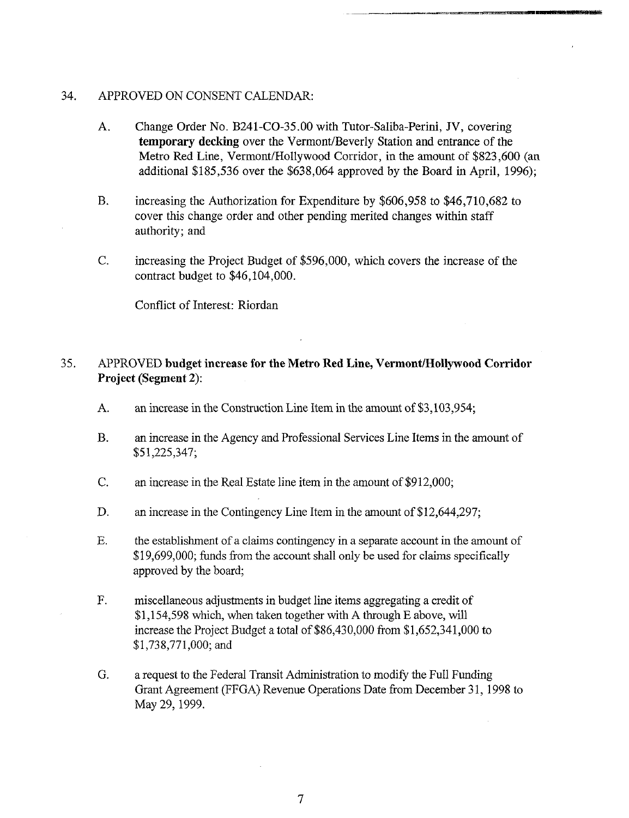#### 34. APPROVED ON CONSENT CALENDAR:

- A. Change Order No. B241-CO-35.00 with Tutor-Saliba-Perini, JV, covering **temporary decking** over the Vermont/Beverly Station and entrance of the Metro Red Line, Vermont/Hollywood Corridor, in the amount of \$823,600 (an additional \$185,536 over the \$638,064 approved by the Board in April, 1996);
- **B.** increasing the Authorization for Expenditure by \$606,958 to \$46,710,682 to cover this change order and other pending merited changes within staff authority; and
- $C$ . increasing the Project Budget of \$596,000, which covers the increase of the contract budget to \$46,104,000.

Conflict of Interest: Riordan

#### 35. APPROVED **budget increase for the Metro Red Line, Vermont/Hollywood Corridor Project (Segment 2):**

- A. an increase in the Construction Line Item in the amount of \$3,103,954;
- **B.** an increase in the Agency and Professional Services Line Items in the amount of \$ 51,225,347;
- C. an increase in the Real Estate line item in the amount of \$912,000;
- D. an increase in the Contingency Line Item in the amount of \$12,644,297;
- E. the establishment of a claims contingency in a separate account in the amount of \$19,699,000; funds from the account shall only be used for claims specifically approved by the board;
- F. miscellaneous adjustments in budget line items aggregating a credit of \$1,154,598 which, when taken together with A through E above, will increase the Project Budget a total of \$86,430,000 from \$1,652,341,000 to \$1,738,771,000; and
- G. a request to the Federal Transit Administration to modify the Full Funding Grant Agreement (FFGA) Revenue Operations Date from December 31, 1998 May 29, 1999.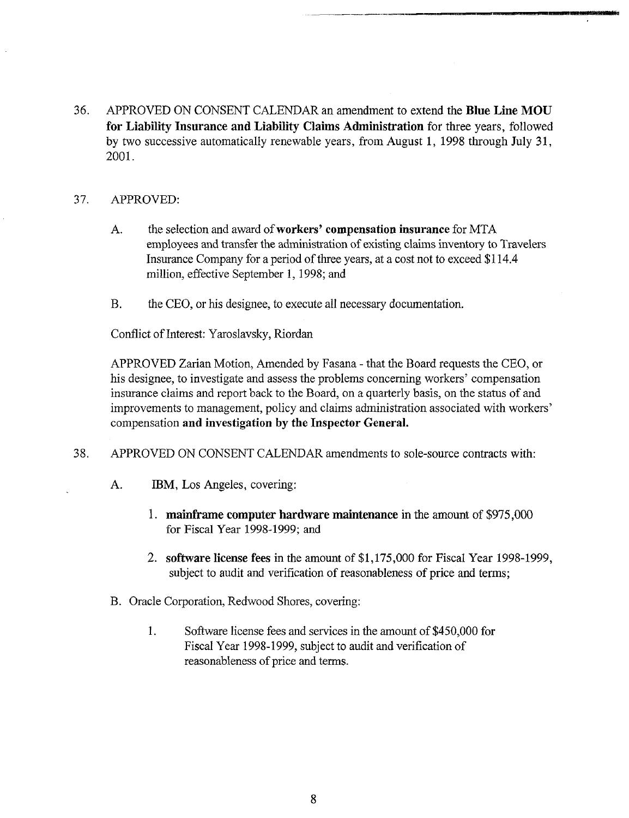36. APPROVED ON CONSENT CALENDAR an amendment to extend the Blue Line MOU **for Liability Insurance and Liability Claims Administration** for three years, followed by two successive automatically renewable years, from August 1, 1998 through July 31, 2001.

#### 37. APPROVED:

- A. the selection and award of **workers' compensation insurance** for MTA employees and transfer the administration of existing claims inventory to Travelers Insurance Company for a period of three years, at a cost not to exceed \$114.4 million, effective September 1, 1998; and
- B. the CEO, or his designee, to execute all necessary documentation.

Conflict of Interest: Yaroslavsky, Riordan

APPROVED Zarian Motion, Amended by Fasana - that the Board requests the CEO, or his designee, to investigate and assess the problems concerning workers' compensation insurance claims and report back to the Board, on a quarterly basis, on the status of and improvements to management, policy and claims administration associated with workers' compensation **and investigation by the Inspector General.**

- 38. APPROVED ON CONSENT CALENDAR amendments to sole-source contracts with:
	- A. IBM, Los Angeles, covering:
		- 1. **mainframe computer hardware maintenance** in the amount of \$975,000 for Fiscal Year 1998-1999; and
		- 2. software license fees in the amount of \$1,175,000 for Fiscal Year 1998-1999, subject to audit and verification of reasonableness of price and terms;
	- B. Oracle Corporation, Redwood Shores, covering:
		- 1. Software license fees and services in the amount of \$450,000 for Fiscal Year 1998-1999, subject to audit and verification of reasonableness of price and terms.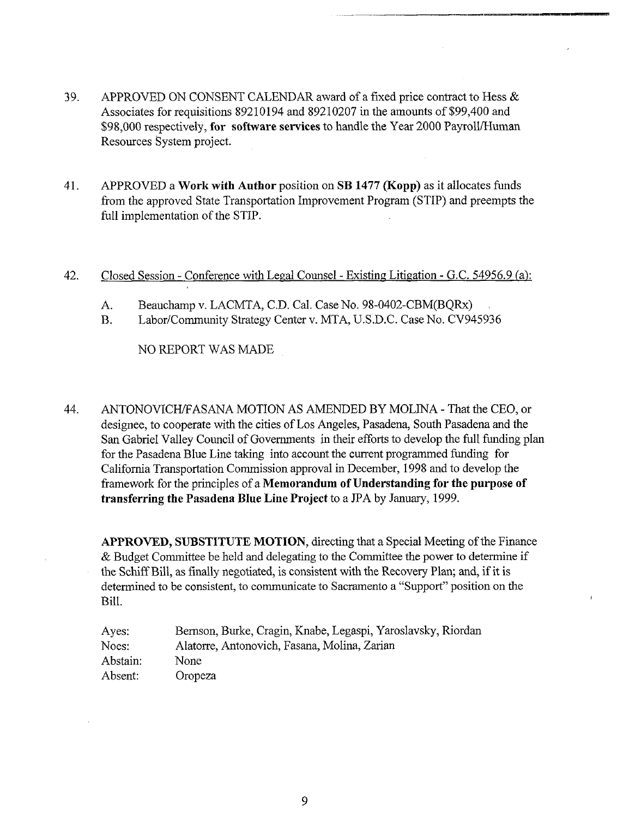- 39. APPROVED ON CONSENT CALENDAR award of a fixed price contract to Hess  $\&$ Associates for requisitions 89210194 and 89210207 in the amounts of \$99,400 and \$98,000 respectively, for software services to handle the Year 2000 Payroll/Human Resources System project.
- 41. APPROVED a Work with Author position on SB 1477 (Kopp) as it allocates funds from the approved State Transportation Improvement Program (STIP) and preempts the full implementation of the STIP.

#### 42. Closed Session - Conference with Legal Counsel - Existing Litigation - G.C. 54956.9 (a):

- A. Beauchamp v. LACMTA, C.D. Cal. Case No. 98-0402-CBM(BQRx)
- B. Labor/Community Strategy Center v. MTA, U.S.D.C. Case No. CV945936

NO REPORT WAS MADE

44. ANTONOVICH/FASANA MOTION AS AMENDED BY MOLINA - That the CEO, or designee, to cooperate with the cities of Los Angeles, Pasadena, South Pasadena and the San Gabriel Valley Council of Governments in their efforts to develop the full funding plan for the Pasadena Blue Line taking into account the current programmed funding for California Transportation Commission approval in December, 1998 mad to develop the framework for the principles of a Memorandum of Understanding for the purpose of transferring the Pasadena Blue Line Project to a JPA by January, 1999.

APPROVED, SUBSTITUTE MOTION, directing that a Special Meeting of the Finance & Budget Committee be held and delegating to the Committee the power to determine if the Schiff Bill, as finally negotiated, is consistent with the Recovery Plan; and, if it is determined to be consistent, to communicate to Sacramento a"Support" position on the Bill.

| Ayes:    | Bernson, Burke, Cragin, Knabe, Legaspi, Yaroslavsky, Riordan |
|----------|--------------------------------------------------------------|
| Noes:    | Alatorre, Antonovich, Fasana, Molina, Zarian                 |
| Abstain: | None.                                                        |
| Absent:  | Oropeza                                                      |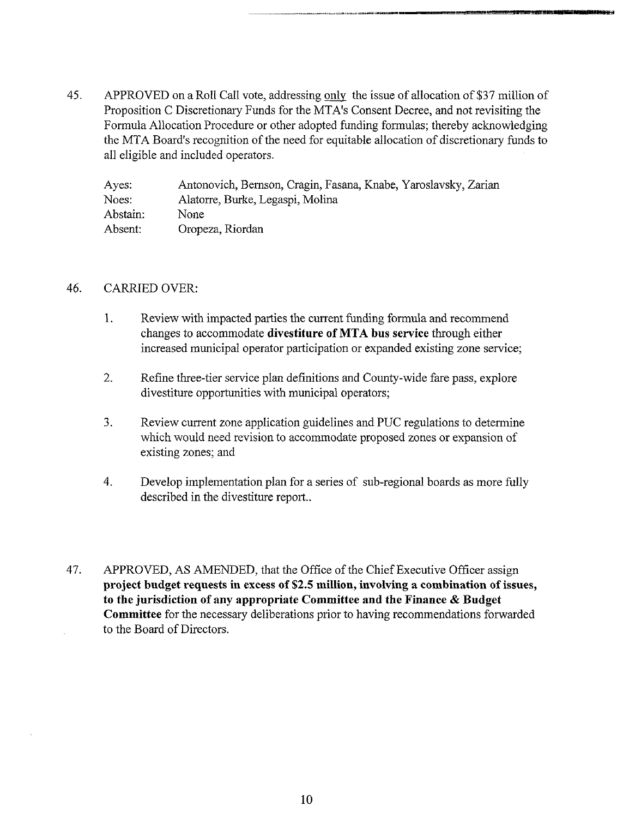45. APPROVED on a Roll Call vote, addressing only the issue of allocation of \$37 million of Proposition C Discretionary Funds for the MTA's Consent Decree, and not revisiting the Formula Allocation Procedure or other adopted funding formulas; thereby acknowledging the MTA Board's recognition of the need for equitable allocation of discretionary funds to all eligible and included operators.

| Ayes:    | Antonovich, Bernson, Cragin, Fasana, Knabe, Yaroslavsky, Zarian |
|----------|-----------------------------------------------------------------|
| Noes:    | Alatorre, Burke, Legaspi, Molina                                |
| Abstain: | None                                                            |
| Absent:  | Oropeza, Riordan                                                |

#### 46. CARRIED OVER:

- 1. Review with impacted parties the current funding formula and recommend changes to accommodate **divestiture of MTA bus service** through either increased municipal operator participation or expanded existing zone service;
- 2. Refine three-tier service plan definitions and County-wide fare pass, explore divestiture opportunities with municipal operators;
- $3.$ Review current zone application guidelines and PUC regulations to determine which would need revision to accommodate proposed zones or expansion of existing zones; and
- 4. Develop implementation plan for a series of sub-regional boards as more fully described in the divestiture report..
- 47. APPROVED, AS AMENDED, that the Office of the Chief Executive Officer assign **project budget requests in excess of \$2.5 million, involving a combination of issues, to the jurisdiction of any appropriate Committee and the Finance & Budget Committee** for the necessary deliberations prior to having recommendations forwarded to the Board of Directors.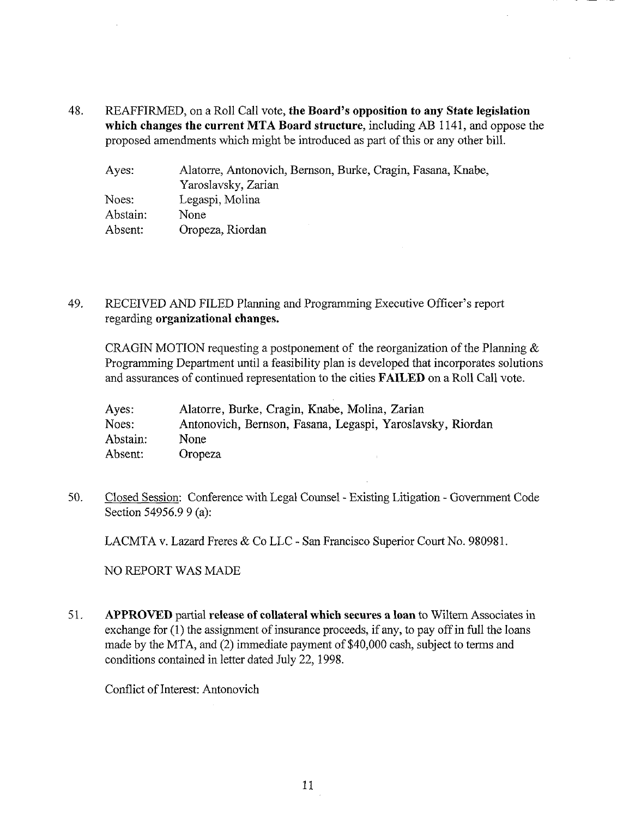48. **REAFFIRMED, on a Roll Call vote, the Board's opposition to any State Legislation which changes the current MTA Board structure,** including AB 1141, and oppose the proposed amendments which might be introduced as part of this or any other bill.

| Ayes:    | Alatorre, Antonovich, Bernson, Burke, Cragin, Fasana, Knabe, |
|----------|--------------------------------------------------------------|
|          | Yaroslavsky, Zarian                                          |
| Noes:    | Legaspi, Molina                                              |
| Abstain: | None.                                                        |
| Absent:  | Oropeza, Riordan                                             |

### 49. RECEIVED AND FILED Planning and Programming Executive Officer's report regarding **organizational changes.**

CRAGIN MOTION requesting a postponement of the reorganization of the Planning  $\&$ Programming Department until a feasibility plan is developed that incorporates solutions and assurances of continued representation to the cities FAILED on a Roll Call vote.

| Ayes:    | Alatorre, Burke, Cragin, Knabe, Molina, Zarian             |
|----------|------------------------------------------------------------|
| Noes:    | Antonovich, Bernson, Fasana, Legaspi, Yaroslavsky, Riordan |
| Abstain: | None.                                                      |
| Absent:  | Oropeza                                                    |

50. Closed Session: Conference with Legal Counsel - Existing Litigation - Government Code Section 54956.9 9 (a):

LACMTA v. Lazard Freres & Co LLC - San Francisco Superior Court No. 980981.

NO REPORT WAS MADE

51. APPROVED partial **release of collateral which secures a loan** to Wiltem Associates in exchange for (1) the assignment of insurance proceeds, if any, to pay off in full the loans made by the MTA, and (2) immediate payment of \$40,000 cash, subject to terms and conditions contained in letter dated July 22, 1998.

Conflict of Interest: Antonovich